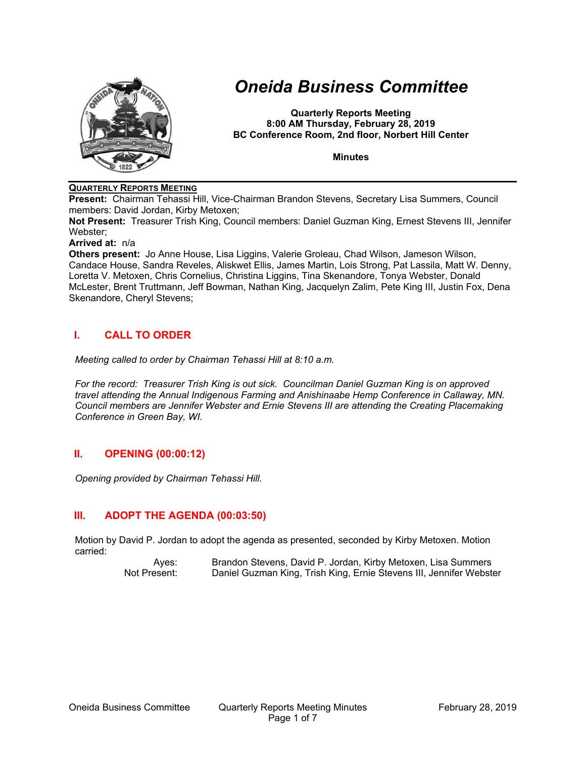

# *Oneida Business Committee*

**Quarterly Reports Meeting 8:00 AM Thursday, February 28, 2019 BC Conference Room, 2nd floor, Norbert Hill Center**

**Minutes**

# **QUARTERLY REPORTS MEETING**

**Present:** Chairman Tehassi Hill, Vice-Chairman Brandon Stevens, Secretary Lisa Summers, Council members: David Jordan, Kirby Metoxen;

**Not Present:** Treasurer Trish King, Council members: Daniel Guzman King, Ernest Stevens III, Jennifer Webster;

#### **Arrived at:** n/a

**Others present:** Jo Anne House, Lisa Liggins, Valerie Groleau, Chad Wilson, Jameson Wilson, Candace House, Sandra Reveles, Aliskwet Ellis, James Martin, Lois Strong, Pat Lassila, Matt W. Denny, Loretta V. Metoxen, Chris Cornelius, Christina Liggins, Tina Skenandore, Tonya Webster, Donald McLester, Brent Truttmann, Jeff Bowman, Nathan King, Jacquelyn Zalim, Pete King III, Justin Fox, Dena Skenandore, Cheryl Stevens;

# **I. CALL TO ORDER**

*Meeting called to order by Chairman Tehassi Hill at 8:10 a.m.*

*For the record: Treasurer Trish King is out sick. Councilman Daniel Guzman King is on approved travel attending the Annual Indigenous Farming and Anishinaabe Hemp Conference in Callaway, MN. Council members are Jennifer Webster and Ernie Stevens III are attending the Creating Placemaking Conference in Green Bay, WI.*

# **II. OPENING (00:00:12)**

*Opening provided by Chairman Tehassi Hill.*

# **III. ADOPT THE AGENDA (00:03:50)**

Motion by David P. Jordan to adopt the agenda as presented, seconded by Kirby Metoxen. Motion carried:

> Ayes: Brandon Stevens, David P. Jordan, Kirby Metoxen, Lisa Summers Not Present: Daniel Guzman King, Trish King, Ernie Stevens III, Jennifer Webster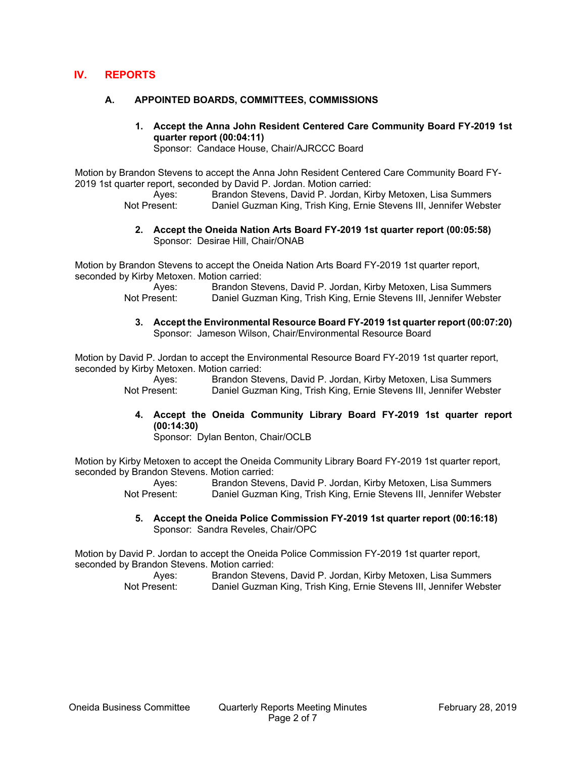# **IV. REPORTS**

#### **A. APPOINTED BOARDS, COMMITTEES, COMMISSIONS**

**1. Accept the Anna John Resident Centered Care Community Board FY-2019 1st quarter report (00:04:11)** Sponsor: Candace House, Chair/AJRCCC Board

Motion by Brandon Stevens to accept the Anna John Resident Centered Care Community Board FY-2019 1st quarter report, seconded by David P. Jordan. Motion carried:

> Ayes: Brandon Stevens, David P. Jordan, Kirby Metoxen, Lisa Summers<br>Not Present: Daniel Guzman King Trish King Frnie Stevens III Jennifer Webste Daniel Guzman King, Trish King, Ernie Stevens III, Jennifer Webster

#### **2. Accept the Oneida Nation Arts Board FY-2019 1st quarter report (00:05:58)** Sponsor: Desirae Hill, Chair/ONAB

Motion by Brandon Stevens to accept the Oneida Nation Arts Board FY-2019 1st quarter report, seconded by Kirby Metoxen. Motion carried:

> Ayes: Brandon Stevens, David P. Jordan, Kirby Metoxen, Lisa Summers Not Present: Daniel Guzman King, Trish King, Ernie Stevens III, Jennifer Webster

**3. Accept the Environmental Resource Board FY-2019 1st quarter report (00:07:20)** Sponsor: Jameson Wilson, Chair/Environmental Resource Board

Motion by David P. Jordan to accept the Environmental Resource Board FY-2019 1st quarter report, seconded by Kirby Metoxen. Motion carried:

> Ayes: Brandon Stevens, David P. Jordan, Kirby Metoxen, Lisa Summers Not Present: Daniel Guzman King, Trish King, Ernie Stevens III, Jennifer Webster

**4. Accept the Oneida Community Library Board FY-2019 1st quarter report (00:14:30)**

Sponsor: Dylan Benton, Chair/OCLB

Motion by Kirby Metoxen to accept the Oneida Community Library Board FY-2019 1st quarter report, seconded by Brandon Stevens. Motion carried:

> Ayes: Brandon Stevens, David P. Jordan, Kirby Metoxen, Lisa Summers Not Present: Daniel Guzman King, Trish King, Ernie Stevens III, Jennifer Webster

**5. Accept the Oneida Police Commission FY-2019 1st quarter report (00:16:18)** Sponsor: Sandra Reveles, Chair/OPC

Motion by David P. Jordan to accept the Oneida Police Commission FY-2019 1st quarter report, seconded by Brandon Stevens. Motion carried:

| Ayes:        | Brandon Stevens, David P. Jordan, Kirby Metoxen, Lisa Summers       |
|--------------|---------------------------------------------------------------------|
| Not Present: | Daniel Guzman King, Trish King, Ernie Stevens III, Jennifer Webster |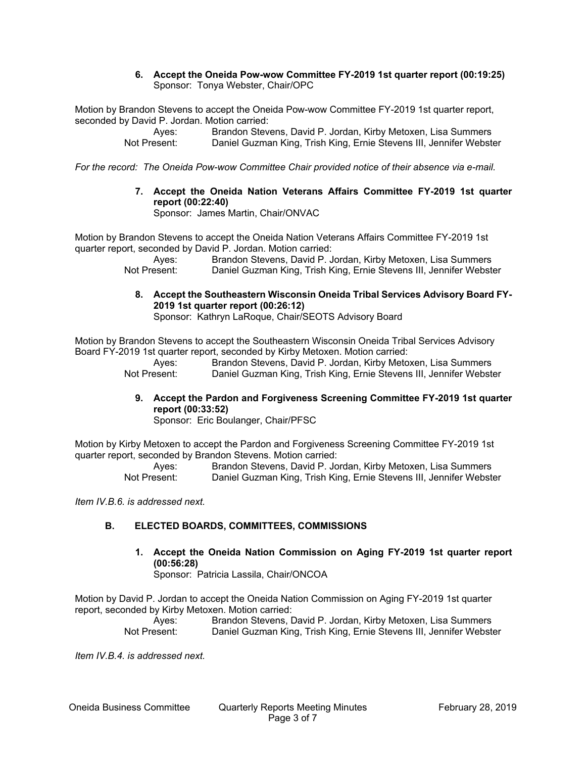#### **6. Accept the Oneida Pow-wow Committee FY-2019 1st quarter report (00:19:25)** Sponsor: Tonya Webster, Chair/OPC

Motion by Brandon Stevens to accept the Oneida Pow-wow Committee FY-2019 1st quarter report, seconded by David P. Jordan. Motion carried:

> Ayes: Brandon Stevens, David P. Jordan, Kirby Metoxen, Lisa Summers Not Present: Daniel Guzman King, Trish King, Ernie Stevens III, Jennifer Webster

*For the record: The Oneida Pow-wow Committee Chair provided notice of their absence via e-mail.*

**7. Accept the Oneida Nation Veterans Affairs Committee FY-2019 1st quarter report (00:22:40)**

Sponsor: James Martin, Chair/ONVAC

Motion by Brandon Stevens to accept the Oneida Nation Veterans Affairs Committee FY-2019 1st quarter report, seconded by David P. Jordan. Motion carried:

Ayes: Brandon Stevens, David P. Jordan, Kirby Metoxen, Lisa Summers Not Present: Daniel Guzman King, Trish King, Ernie Stevens III, Jennifer Webster

**8. Accept the Southeastern Wisconsin Oneida Tribal Services Advisory Board FY-2019 1st quarter report (00:26:12)**

Sponsor: Kathryn LaRoque, Chair/SEOTS Advisory Board

Motion by Brandon Stevens to accept the Southeastern Wisconsin Oneida Tribal Services Advisory Board FY-2019 1st quarter report, seconded by Kirby Metoxen. Motion carried:

Ayes: Brandon Stevens, David P. Jordan, Kirby Metoxen, Lisa Summers Not Present: Daniel Guzman King, Trish King, Ernie Stevens III, Jennifer Webster

**9. Accept the Pardon and Forgiveness Screening Committee FY-2019 1st quarter report (00:33:52)**

Sponsor: Eric Boulanger, Chair/PFSC

Motion by Kirby Metoxen to accept the Pardon and Forgiveness Screening Committee FY-2019 1st quarter report, seconded by Brandon Stevens. Motion carried:

Ayes: Brandon Stevens, David P. Jordan, Kirby Metoxen, Lisa Summers Not Present: Daniel Guzman King, Trish King, Ernie Stevens III, Jennifer Webster

*Item IV.B.6. is addressed next.*

# **B. ELECTED BOARDS, COMMITTEES, COMMISSIONS**

**1. Accept the Oneida Nation Commission on Aging FY-2019 1st quarter report (00:56:28)**

Sponsor: Patricia Lassila, Chair/ONCOA

Motion by David P. Jordan to accept the Oneida Nation Commission on Aging FY-2019 1st quarter report, seconded by Kirby Metoxen. Motion carried:

Ayes: Brandon Stevens, David P. Jordan, Kirby Metoxen, Lisa Summers Not Present: Daniel Guzman King, Trish King, Ernie Stevens III, Jennifer Webster

*Item IV.B.4. is addressed next.*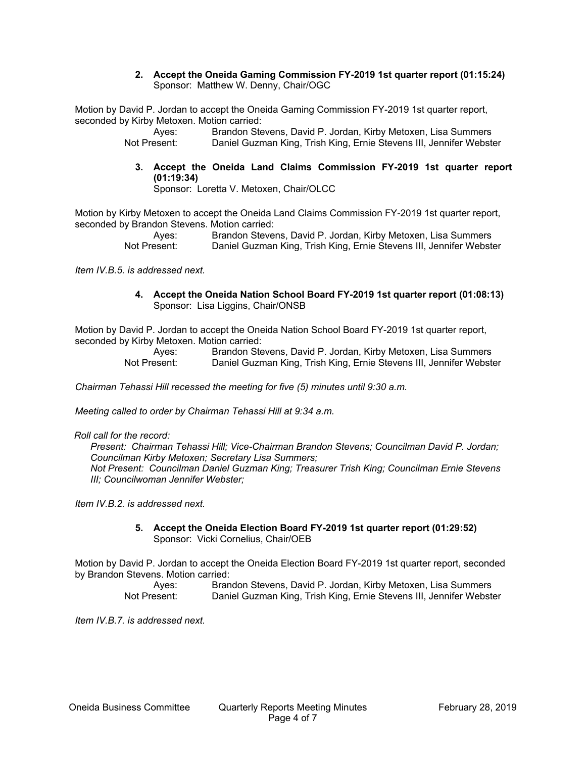#### **2. Accept the Oneida Gaming Commission FY-2019 1st quarter report (01:15:24)** Sponsor: Matthew W. Denny, Chair/OGC

Motion by David P. Jordan to accept the Oneida Gaming Commission FY-2019 1st quarter report, seconded by Kirby Metoxen. Motion carried:

> Ayes: Brandon Stevens, David P. Jordan, Kirby Metoxen, Lisa Summers Not Present: Daniel Guzman King, Trish King, Ernie Stevens III, Jennifer Webster

# **3. Accept the Oneida Land Claims Commission FY-2019 1st quarter report (01:19:34)**

Sponsor: Loretta V. Metoxen, Chair/OLCC

Motion by Kirby Metoxen to accept the Oneida Land Claims Commission FY-2019 1st quarter report, seconded by Brandon Stevens. Motion carried:

Ayes: Brandon Stevens, David P. Jordan, Kirby Metoxen, Lisa Summers Not Present: Daniel Guzman King, Trish King, Ernie Stevens III, Jennifer Webster

*Item IV.B.5. is addressed next.*

**4. Accept the Oneida Nation School Board FY-2019 1st quarter report (01:08:13)** Sponsor: Lisa Liggins, Chair/ONSB

Motion by David P. Jordan to accept the Oneida Nation School Board FY-2019 1st quarter report, seconded by Kirby Metoxen. Motion carried:

Ayes: Brandon Stevens, David P. Jordan, Kirby Metoxen, Lisa Summers<br>Not Present: Daniel Guzman King. Trish King. Ernie Stevens III. Jennifer Webste Daniel Guzman King, Trish King, Ernie Stevens III, Jennifer Webster

*Chairman Tehassi Hill recessed the meeting for five (5) minutes until 9:30 a.m.*

*Meeting called to order by Chairman Tehassi Hill at 9:34 a.m.*

*Roll call for the record:*

*Present: Chairman Tehassi Hill; Vice-Chairman Brandon Stevens; Councilman David P. Jordan; Councilman Kirby Metoxen; Secretary Lisa Summers; Not Present: Councilman Daniel Guzman King; Treasurer Trish King; Councilman Ernie Stevens III; Councilwoman Jennifer Webster;*

*Item IV.B.2. is addressed next.*

**5. Accept the Oneida Election Board FY-2019 1st quarter report (01:29:52)** Sponsor: Vicki Cornelius, Chair/OEB

Motion by David P. Jordan to accept the Oneida Election Board FY-2019 1st quarter report, seconded by Brandon Stevens. Motion carried:

Ayes: Brandon Stevens, David P. Jordan, Kirby Metoxen, Lisa Summers Not Present: Daniel Guzman King, Trish King, Ernie Stevens III, Jennifer Webster

*Item IV.B.7. is addressed next.*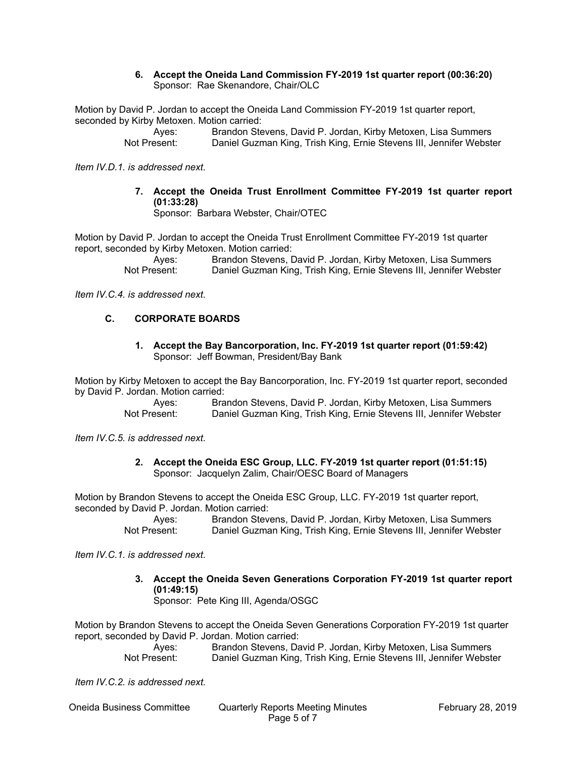#### **6. Accept the Oneida Land Commission FY-2019 1st quarter report (00:36:20)** Sponsor: Rae Skenandore, Chair/OLC

Motion by David P. Jordan to accept the Oneida Land Commission FY-2019 1st quarter report, seconded by Kirby Metoxen. Motion carried:

Ayes: Brandon Stevens, David P. Jordan, Kirby Metoxen, Lisa Summers Not Present: Daniel Guzman King, Trish King, Ernie Stevens III, Jennifer Webster

*Item IV.D.1. is addressed next.*

**7. Accept the Oneida Trust Enrollment Committee FY-2019 1st quarter report (01:33:28)**

Sponsor: Barbara Webster, Chair/OTEC

Motion by David P. Jordan to accept the Oneida Trust Enrollment Committee FY-2019 1st quarter report, seconded by Kirby Metoxen. Motion carried:

> Ayes: Brandon Stevens, David P. Jordan, Kirby Metoxen, Lisa Summers Not Present: Daniel Guzman King, Trish King, Ernie Stevens III, Jennifer Webster

*Item IV.C.4. is addressed next.*

# **C. CORPORATE BOARDS**

#### **1. Accept the Bay Bancorporation, Inc. FY-2019 1st quarter report (01:59:42)** Sponsor: Jeff Bowman, President/Bay Bank

Motion by Kirby Metoxen to accept the Bay Bancorporation, Inc. FY-2019 1st quarter report, seconded by David P. Jordan. Motion carried:

> Ayes: Brandon Stevens, David P. Jordan, Kirby Metoxen, Lisa Summers Not Present: Daniel Guzman King, Trish King, Ernie Stevens III, Jennifer Webster

*Item IV.C.5. is addressed next.*

**2. Accept the Oneida ESC Group, LLC. FY-2019 1st quarter report (01:51:15)** Sponsor: Jacquelyn Zalim, Chair/OESC Board of Managers

Motion by Brandon Stevens to accept the Oneida ESC Group, LLC. FY-2019 1st quarter report, seconded by David P. Jordan. Motion carried:

Ayes: Brandon Stevens, David P. Jordan, Kirby Metoxen, Lisa Summers Not Present: Daniel Guzman King, Trish King, Ernie Stevens III, Jennifer Webster

*Item IV.C.1. is addressed next.*

# **3. Accept the Oneida Seven Generations Corporation FY-2019 1st quarter report (01:49:15)**

Sponsor: Pete King III, Agenda/OSGC

Motion by Brandon Stevens to accept the Oneida Seven Generations Corporation FY-2019 1st quarter report, seconded by David P. Jordan. Motion carried:

Ayes: Brandon Stevens, David P. Jordan, Kirby Metoxen, Lisa Summers Not Present: Daniel Guzman King, Trish King, Ernie Stevens III, Jennifer Webster

*Item IV.C.2. is addressed next.*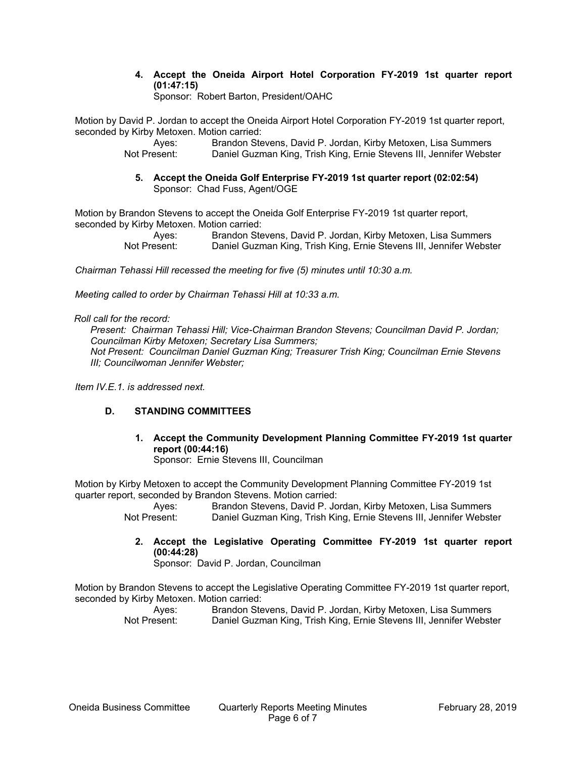**4. Accept the Oneida Airport Hotel Corporation FY-2019 1st quarter report (01:47:15)**

Sponsor: Robert Barton, President/OAHC

Motion by David P. Jordan to accept the Oneida Airport Hotel Corporation FY-2019 1st quarter report, seconded by Kirby Metoxen. Motion carried:

> Ayes: Brandon Stevens, David P. Jordan, Kirby Metoxen, Lisa Summers Not Present: Daniel Guzman King, Trish King, Ernie Stevens III, Jennifer Webster

**5. Accept the Oneida Golf Enterprise FY-2019 1st quarter report (02:02:54)** Sponsor: Chad Fuss, Agent/OGE

Motion by Brandon Stevens to accept the Oneida Golf Enterprise FY-2019 1st quarter report, seconded by Kirby Metoxen. Motion carried:

Ayes: Brandon Stevens, David P. Jordan, Kirby Metoxen, Lisa Summers Not Present: Daniel Guzman King, Trish King, Ernie Stevens III, Jennifer Webster

*Chairman Tehassi Hill recessed the meeting for five (5) minutes until 10:30 a.m.*

*Meeting called to order by Chairman Tehassi Hill at 10:33 a.m.*

*Roll call for the record:*

*Present: Chairman Tehassi Hill; Vice-Chairman Brandon Stevens; Councilman David P. Jordan; Councilman Kirby Metoxen; Secretary Lisa Summers; Not Present: Councilman Daniel Guzman King; Treasurer Trish King; Councilman Ernie Stevens III; Councilwoman Jennifer Webster;*

*Item IV.E.1. is addressed next.*

# **D. STANDING COMMITTEES**

**1. Accept the Community Development Planning Committee FY-2019 1st quarter report (00:44:16)** Sponsor: Ernie Stevens III, Councilman

Motion by Kirby Metoxen to accept the Community Development Planning Committee FY-2019 1st quarter report, seconded by Brandon Stevens. Motion carried:

Ayes: Brandon Stevens, David P. Jordan, Kirby Metoxen, Lisa Summers Not Present: Daniel Guzman King, Trish King, Ernie Stevens III, Jennifer Webster

**2. Accept the Legislative Operating Committee FY-2019 1st quarter report (00:44:28)**

Sponsor: David P. Jordan, Councilman

Motion by Brandon Stevens to accept the Legislative Operating Committee FY-2019 1st quarter report, seconded by Kirby Metoxen. Motion carried:

Ayes: Brandon Stevens, David P. Jordan, Kirby Metoxen, Lisa Summers Not Present: Daniel Guzman King, Trish King, Ernie Stevens III, Jennifer Webster